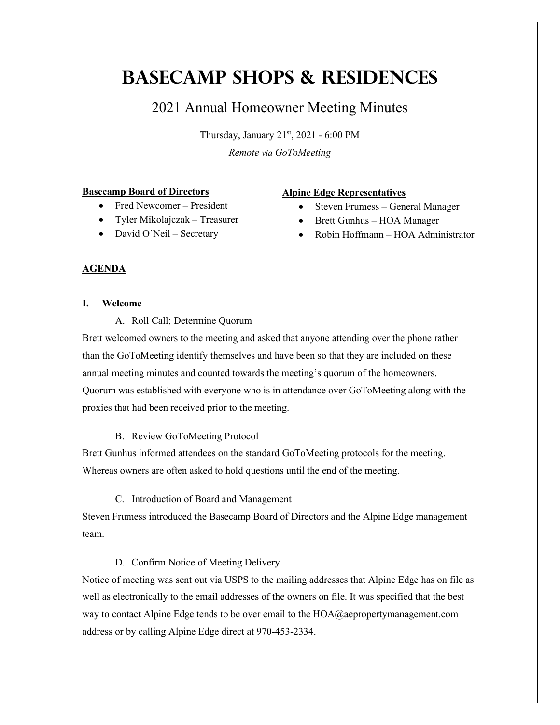# **Basecamp Shops & Residences**

# 2021 Annual Homeowner Meeting Minutes

Thursday, January 21st, 2021 - 6:00 PM *Remote via GoToMeeting*

#### **Basecamp Board of Directors**

- Fred Newcomer President
- Tyler Mikolajczak Treasurer
- David O'Neil Secretary

# **Alpine Edge Representatives**

- Steven Frumess General Manager
- Brett Gunhus HOA Manager
- Robin Hoffmann HOA Administrator

# **AGENDA**

# **I. Welcome**

A. Roll Call; Determine Quorum

Brett welcomed owners to the meeting and asked that anyone attending over the phone rather than the GoToMeeting identify themselves and have been so that they are included on these annual meeting minutes and counted towards the meeting's quorum of the homeowners. Quorum was established with everyone who is in attendance over GoToMeeting along with the proxies that had been received prior to the meeting.

# B. Review GoToMeeting Protocol

Brett Gunhus informed attendees on the standard GoToMeeting protocols for the meeting. Whereas owners are often asked to hold questions until the end of the meeting.

C. Introduction of Board and Management

Steven Frumess introduced the Basecamp Board of Directors and the Alpine Edge management team.

# D. Confirm Notice of Meeting Delivery

Notice of meeting was sent out via USPS to the mailing addresses that Alpine Edge has on file as well as electronically to the email addresses of the owners on file. It was specified that the best way to contact Alpine Edge tends to be over email to the [HOA@aepropertymanagement.com](mailto:HOA@aepropertymanagement.com) address or by calling Alpine Edge direct at 970-453-2334.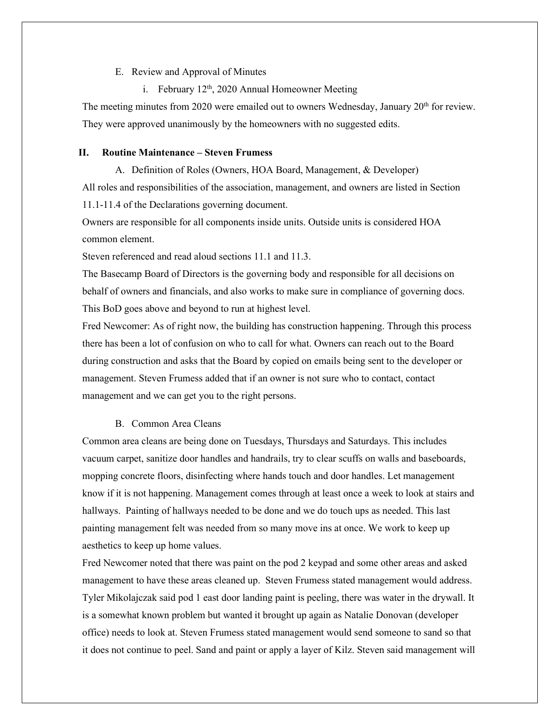#### E. Review and Approval of Minutes

i. February  $12<sup>th</sup>$ , 2020 Annual Homeowner Meeting

The meeting minutes from 2020 were emailed out to owners Wednesday, January  $20<sup>th</sup>$  for review. They were approved unanimously by the homeowners with no suggested edits.

### **II. Routine Maintenance – Steven Frumess**

A. Definition of Roles (Owners, HOA Board, Management, & Developer)

All roles and responsibilities of the association, management, and owners are listed in Section 11.1-11.4 of the Declarations governing document.

Owners are responsible for all components inside units. Outside units is considered HOA common element.

Steven referenced and read aloud sections 11.1 and 11.3.

The Basecamp Board of Directors is the governing body and responsible for all decisions on behalf of owners and financials, and also works to make sure in compliance of governing docs. This BoD goes above and beyond to run at highest level.

Fred Newcomer: As of right now, the building has construction happening. Through this process there has been a lot of confusion on who to call for what. Owners can reach out to the Board during construction and asks that the Board by copied on emails being sent to the developer or management. Steven Frumess added that if an owner is not sure who to contact, contact management and we can get you to the right persons.

# B. Common Area Cleans

Common area cleans are being done on Tuesdays, Thursdays and Saturdays. This includes vacuum carpet, sanitize door handles and handrails, try to clear scuffs on walls and baseboards, mopping concrete floors, disinfecting where hands touch and door handles. Let management know if it is not happening. Management comes through at least once a week to look at stairs and hallways. Painting of hallways needed to be done and we do touch ups as needed. This last painting management felt was needed from so many move ins at once. We work to keep up aesthetics to keep up home values.

Fred Newcomer noted that there was paint on the pod 2 keypad and some other areas and asked management to have these areas cleaned up. Steven Frumess stated management would address. Tyler Mikolajczak said pod 1 east door landing paint is peeling, there was water in the drywall. It is a somewhat known problem but wanted it brought up again as Natalie Donovan (developer office) needs to look at. Steven Frumess stated management would send someone to sand so that it does not continue to peel. Sand and paint or apply a layer of Kilz. Steven said management will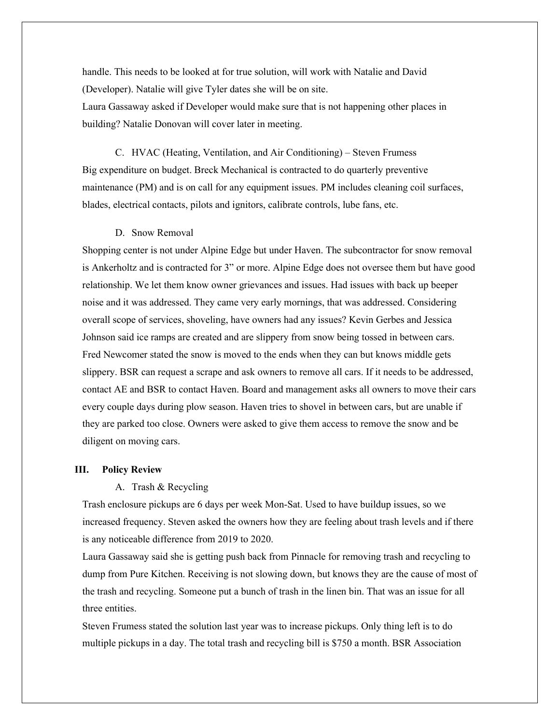handle. This needs to be looked at for true solution, will work with Natalie and David (Developer). Natalie will give Tyler dates she will be on site. Laura Gassaway asked if Developer would make sure that is not happening other places in building? Natalie Donovan will cover later in meeting.

C. HVAC (Heating, Ventilation, and Air Conditioning) – Steven Frumess Big expenditure on budget. Breck Mechanical is contracted to do quarterly preventive maintenance (PM) and is on call for any equipment issues. PM includes cleaning coil surfaces, blades, electrical contacts, pilots and ignitors, calibrate controls, lube fans, etc.

### D. Snow Removal

Shopping center is not under Alpine Edge but under Haven. The subcontractor for snow removal is Ankerholtz and is contracted for 3" or more. Alpine Edge does not oversee them but have good relationship. We let them know owner grievances and issues. Had issues with back up beeper noise and it was addressed. They came very early mornings, that was addressed. Considering overall scope of services, shoveling, have owners had any issues? Kevin Gerbes and Jessica Johnson said ice ramps are created and are slippery from snow being tossed in between cars. Fred Newcomer stated the snow is moved to the ends when they can but knows middle gets slippery. BSR can request a scrape and ask owners to remove all cars. If it needs to be addressed, contact AE and BSR to contact Haven. Board and management asks all owners to move their cars every couple days during plow season. Haven tries to shovel in between cars, but are unable if they are parked too close. Owners were asked to give them access to remove the snow and be diligent on moving cars.

#### **III. Policy Review**

#### A. Trash & Recycling

Trash enclosure pickups are 6 days per week Mon-Sat. Used to have buildup issues, so we increased frequency. Steven asked the owners how they are feeling about trash levels and if there is any noticeable difference from 2019 to 2020.

Laura Gassaway said she is getting push back from Pinnacle for removing trash and recycling to dump from Pure Kitchen. Receiving is not slowing down, but knows they are the cause of most of the trash and recycling. Someone put a bunch of trash in the linen bin. That was an issue for all three entities.

Steven Frumess stated the solution last year was to increase pickups. Only thing left is to do multiple pickups in a day. The total trash and recycling bill is \$750 a month. BSR Association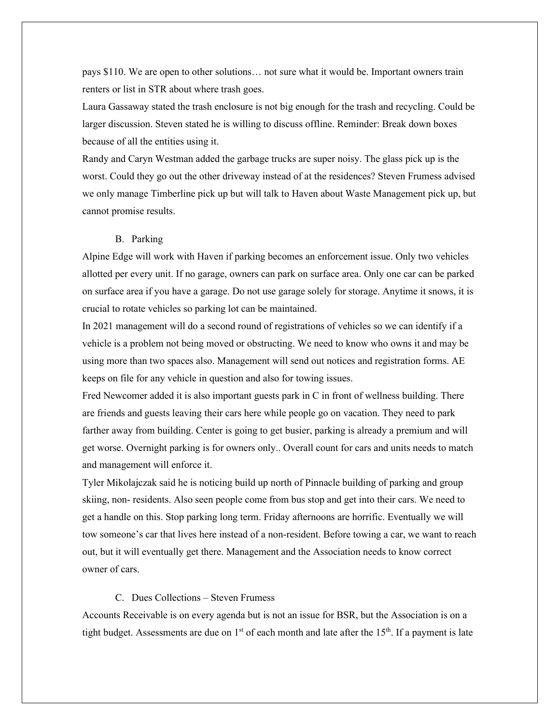pays \$110. We are open to other solutions… not sure what it would be. Important owners train renters or list in STR about where trash goes.

Laura Gassaway stated the trash enclosure is not big enough for the trash and recycling. Could be larger discussion. Steven stated he is willing to discuss offline. Reminder: Break down boxes because of all the entities using it.

Randy and Caryn Westman added the garbage trucks are super noisy. The glass pick up is the worst. Could they go out the other driveway instead of at the residences? Steven Frumess advised we only manage Timberline pick up but will talk to Haven about Waste Management pick up, but cannot promise results.

# B. Parking

Alpine Edge will work with Haven if parking becomes an enforcement issue. Only two vehicles allotted per every unit. If no garage, owners can park on surface area. Only one car can be parked on surface area if you have a garage. Do not use garage solely for storage. Anytime it snows, it is crucial to rotate vehicles so parking lot can be maintained.

In 2021 management will do a second round of registrations of vehicles so we can identify if a vehicle is a problem not being moved or obstructing. We need to know who owns it and may be using more than two spaces also. Management will send out notices and registration forms. AE keeps on file for any vehicle in question and also for towing issues.

Fred Newcomer added it is also important guests park in C in front of wellness building. There are friends and guests leaving their cars here while people go on vacation. They need to park farther away from building. Center is going to get busier, parking is already a premium and will get worse. Overnight parking is for owners only.. Overall count for cars and units needs to match and management will enforce it.

Tyler Mikolajczak said he is noticing build up north of Pinnacle building of parking and group skiing, non- residents. Also seen people come from bus stop and get into their cars. We need to get a handle on this. Stop parking long term. Friday afternoons are horrific. Eventually we will tow someone's car that lives here instead of a non-resident. Before towing a car, we want to reach out, but it will eventually get there. Management and the Association needs to know correct owner of cars.

#### C. Dues Collections – Steven Frumess

Accounts Receivable is on every agenda but is not an issue for BSR, but the Association is on a tight budget. Assessments are due on  $1<sup>st</sup>$  of each month and late after the  $15<sup>th</sup>$ . If a payment is late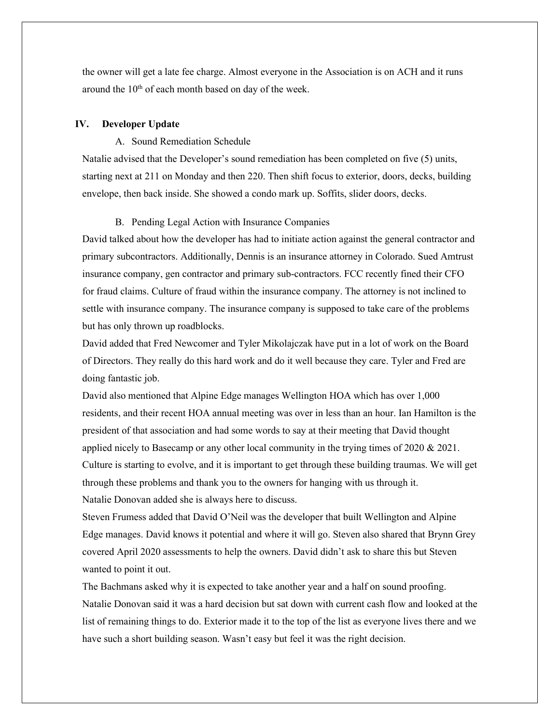the owner will get a late fee charge. Almost everyone in the Association is on ACH and it runs around the 10<sup>th</sup> of each month based on day of the week.

# **IV. Developer Update**

# A. Sound Remediation Schedule

Natalie advised that the Developer's sound remediation has been completed on five (5) units, starting next at 211 on Monday and then 220. Then shift focus to exterior, doors, decks, building envelope, then back inside. She showed a condo mark up. Soffits, slider doors, decks.

# B. Pending Legal Action with Insurance Companies

David talked about how the developer has had to initiate action against the general contractor and primary subcontractors. Additionally, Dennis is an insurance attorney in Colorado. Sued Amtrust insurance company, gen contractor and primary sub-contractors. FCC recently fined their CFO for fraud claims. Culture of fraud within the insurance company. The attorney is not inclined to settle with insurance company. The insurance company is supposed to take care of the problems but has only thrown up roadblocks.

David added that Fred Newcomer and Tyler Mikolajczak have put in a lot of work on the Board of Directors. They really do this hard work and do it well because they care. Tyler and Fred are doing fantastic job.

David also mentioned that Alpine Edge manages Wellington HOA which has over 1,000 residents, and their recent HOA annual meeting was over in less than an hour. Ian Hamilton is the president of that association and had some words to say at their meeting that David thought applied nicely to Basecamp or any other local community in the trying times of 2020 & 2021. Culture is starting to evolve, and it is important to get through these building traumas. We will get through these problems and thank you to the owners for hanging with us through it. Natalie Donovan added she is always here to discuss.

Steven Frumess added that David O'Neil was the developer that built Wellington and Alpine Edge manages. David knows it potential and where it will go. Steven also shared that Brynn Grey covered April 2020 assessments to help the owners. David didn't ask to share this but Steven wanted to point it out.

The Bachmans asked why it is expected to take another year and a half on sound proofing. Natalie Donovan said it was a hard decision but sat down with current cash flow and looked at the list of remaining things to do. Exterior made it to the top of the list as everyone lives there and we have such a short building season. Wasn't easy but feel it was the right decision.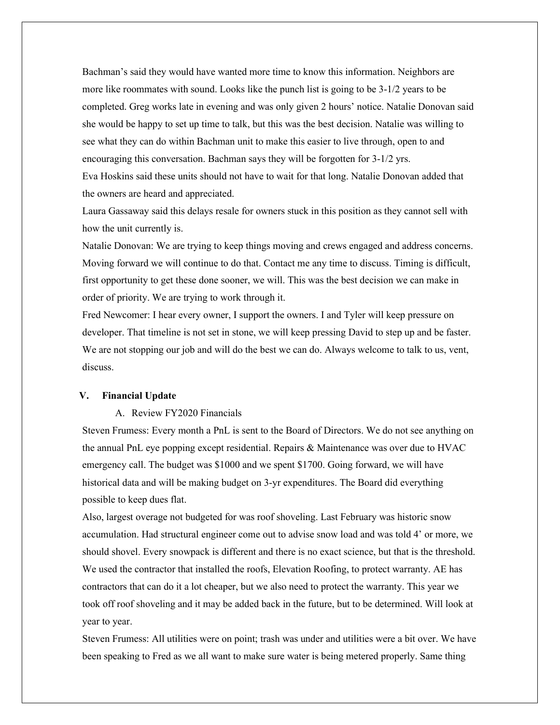Bachman's said they would have wanted more time to know this information. Neighbors are more like roommates with sound. Looks like the punch list is going to be 3-1/2 years to be completed. Greg works late in evening and was only given 2 hours' notice. Natalie Donovan said she would be happy to set up time to talk, but this was the best decision. Natalie was willing to see what they can do within Bachman unit to make this easier to live through, open to and encouraging this conversation. Bachman says they will be forgotten for 3-1/2 yrs. Eva Hoskins said these units should not have to wait for that long. Natalie Donovan added that the owners are heard and appreciated.

Laura Gassaway said this delays resale for owners stuck in this position as they cannot sell with how the unit currently is.

Natalie Donovan: We are trying to keep things moving and crews engaged and address concerns. Moving forward we will continue to do that. Contact me any time to discuss. Timing is difficult, first opportunity to get these done sooner, we will. This was the best decision we can make in order of priority. We are trying to work through it.

Fred Newcomer: I hear every owner, I support the owners. I and Tyler will keep pressure on developer. That timeline is not set in stone, we will keep pressing David to step up and be faster. We are not stopping our job and will do the best we can do. Always welcome to talk to us, vent, discuss.

#### **V. Financial Update**

# A. Review FY2020 Financials

Steven Frumess: Every month a PnL is sent to the Board of Directors. We do not see anything on the annual PnL eye popping except residential. Repairs & Maintenance was over due to HVAC emergency call. The budget was \$1000 and we spent \$1700. Going forward, we will have historical data and will be making budget on 3-yr expenditures. The Board did everything possible to keep dues flat.

Also, largest overage not budgeted for was roof shoveling. Last February was historic snow accumulation. Had structural engineer come out to advise snow load and was told 4' or more, we should shovel. Every snowpack is different and there is no exact science, but that is the threshold. We used the contractor that installed the roofs, Elevation Roofing, to protect warranty. AE has contractors that can do it a lot cheaper, but we also need to protect the warranty. This year we took off roof shoveling and it may be added back in the future, but to be determined. Will look at year to year.

Steven Frumess: All utilities were on point; trash was under and utilities were a bit over. We have been speaking to Fred as we all want to make sure water is being metered properly. Same thing